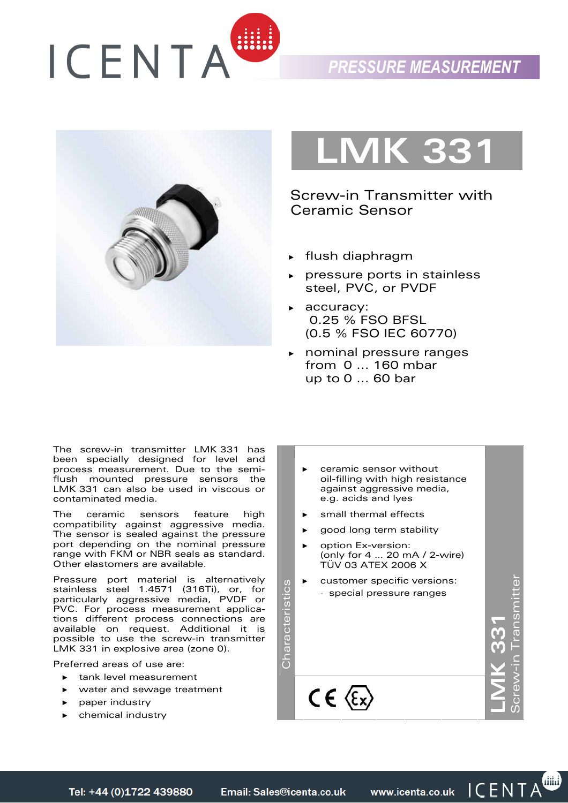





Screw-in Transmitter with Ceramic Sensor

- ► flush diaphragm
- pressure ports in stainless steel, PVC, or PVDF
- ► accuracy: 0.25 % FSO BFSL (0.5 % FSO IEC 60770)
- ► nominal pressure ranges from 0 ... 160 mbar up to 0 ... 60 bar

The screw-in transmitter LMK 331 has been specially designed for level and process measurement. Due to the semiflush mounted pressure sensors the LMK 331 can also be used in viscous or contaminated media.

The ceramic sensors feature high compatibility against aggressive media. The sensor is sealed against the pressure port depending on the nominal pressure range with FKM or NBR seals as standard. Other elastomers are available.

Pressure port material is alternatively stainless steel 1.4571 (316Ti), or, for particularly aggressive media, PVDF or PVC. For process measurement applications different process connections are available on request. Additional it is possible to use the screw-in transmitter LMK 331 in explosive area (zone 0).

Preferred areas of use are:

- tank level measurement
- water and sewage treatment
- paper industry
- ► chemical industry
- ceramic sensor without oil-filling with high resistance against aggressive media, e.g. acids and lyes
- small thermal effects
- good long term stability
- option Ex-version: (only for 4 … 20 mA / 2-wire) TÜV 03 ATEX 2006 X
- customer specific versions: - special pressure ranges

Characteristics

Characteristics

**LMK 331** 

Screw-in Transmitter

▥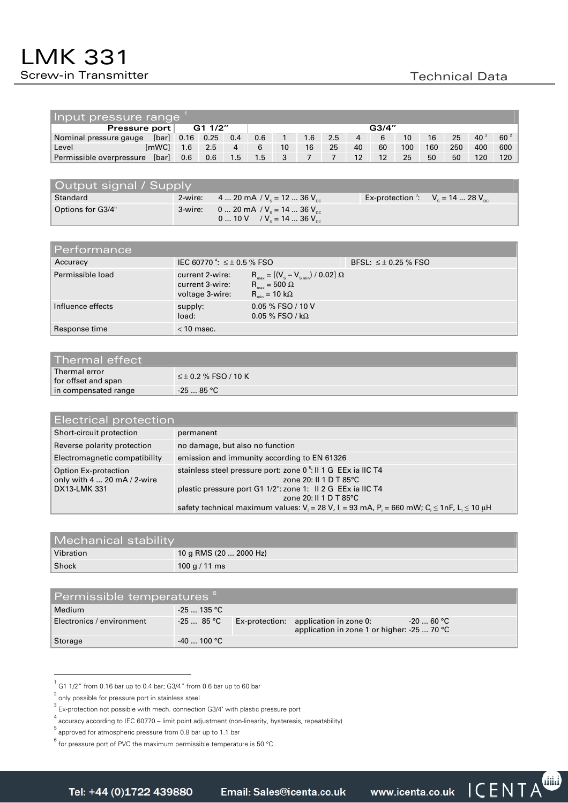| Input pressure range              |       |      |      |               |     |                 |     |     |    |    |     |     |     |     |        |
|-----------------------------------|-------|------|------|---------------|-----|-----------------|-----|-----|----|----|-----|-----|-----|-----|--------|
| G1 1/2"<br>G3/4"<br>Pressure port |       |      |      |               |     |                 |     |     |    |    |     |     |     |     |        |
| Nominal pressure gauge            | [bar] | 0.16 | 0.25 | 0.4           | 0.6 |                 | 1.6 | 2.5 | 4  |    | 10  | 16  | 25  | 40  | $60^2$ |
| Level                             | [mWC] | 1.6  | 2.5  | 4             | 6   | 10 <sup>°</sup> | 16  | 25  | 40 | 60 | 100 | 160 | 250 | 400 | 600    |
| Permissible overpressure          | [bar] | 0.6  | 0.6  | $1.5^{\circ}$ | 1.5 |                 |     |     | 12 | 12 | 25  | 50  | 50  | 120 | 120    |

| Output signal / Supply |  |                                                                                    |  |                                                |  |  |  |
|------------------------|--|------------------------------------------------------------------------------------|--|------------------------------------------------|--|--|--|
| Standard               |  | 2-wire: 4  20 mA / $V_s$ = 12  36 $V_{nc}$                                         |  | Ex-protection $\cdot$ : $V_s = 14$ 28 $V_{nc}$ |  |  |  |
| Options for G3/4"      |  | 3-wire: 0  20 mA / $V_e$ = 14  36 $V_{pc}$<br>0  10 V / $V_s = 14$ 36 $V_{\infty}$ |  |                                                |  |  |  |

| 'Performance ,    |                                                       |                                                                                                                                        |                             |
|-------------------|-------------------------------------------------------|----------------------------------------------------------------------------------------------------------------------------------------|-----------------------------|
| Accuracy          | IEC 60770 $\frac{4}{1} \le \pm 0.5$ % FSO             |                                                                                                                                        | BFSL: $\leq \pm 0.25$ % FSO |
| Permissible load  | current 2-wire:<br>current 3-wire:<br>voltage 3-wire: | $R_{\text{max}} = [(V_s - V_{s_{\text{min}}}) / 0.02] \Omega$<br>$\rm R_{max}$ = 500 $\Omega$<br>$R_{\text{min}} = 10 \text{ k}\Omega$ |                             |
| Influence effects | supply:<br>load:                                      | 0.05 % FSO / 10 V<br>$0.05\%$ FSO / kΩ                                                                                                 |                             |
| Response time     | $<$ 10 msec.                                          |                                                                                                                                        |                             |

| Thermal error<br>for offset and span | $\leq \pm 0.2$ % FSO / 10 K |
|--------------------------------------|-----------------------------|
| in compensated range                 | $-2585$ °C                  |

| Electrical protection                                               |                                                                                                                                                                                                                                                                                                                                      |  |  |  |  |  |
|---------------------------------------------------------------------|--------------------------------------------------------------------------------------------------------------------------------------------------------------------------------------------------------------------------------------------------------------------------------------------------------------------------------------|--|--|--|--|--|
| Short-circuit protection                                            | permanent                                                                                                                                                                                                                                                                                                                            |  |  |  |  |  |
| Reverse polarity protection                                         | no damage, but also no function                                                                                                                                                                                                                                                                                                      |  |  |  |  |  |
| Electromagnetic compatibility                                       | emission and immunity according to EN 61326                                                                                                                                                                                                                                                                                          |  |  |  |  |  |
| Option Ex-protection<br>only with 4  20 mA / 2-wire<br>DX13-LMK 331 | stainless steel pressure port: zone 0 <sup>5</sup> : Il 1 G EEx ia IIC T4<br>zone 20: II 1 D T 85°C<br>plastic pressure port G1 1/2": zone 1: Il 2 G EEx ia IIC T4<br>zone 20: $\parallel$ 1 D T 85 $\degree$ C<br>safety technical maximum values: $V_i = 28 V$ , $I_i = 93$ mA, $P_i = 660$ mW; $C_i \le 1$ nF, $L_i \le 10 \mu H$ |  |  |  |  |  |

| <b>Mechanical stability</b> |                        |  |  |  |  |
|-----------------------------|------------------------|--|--|--|--|
| Vibration                   | 10 g RMS (20  2000 Hz) |  |  |  |  |
| Shock                       | 100 g / 11 ms          |  |  |  |  |

| Permissible temperatures <sup>6</sup> |              |  |                                                                                      |            |  |  |  |
|---------------------------------------|--------------|--|--------------------------------------------------------------------------------------|------------|--|--|--|
| Medium                                | $-25$ 135 °C |  |                                                                                      |            |  |  |  |
| Electronics / environment             | -25  85 °C   |  | Ex-protection: application in zone 0:<br>application in zone 1 or higher: -25  70 °C | -20  60 °C |  |  |  |
| Storage                               | $-40$ 100 °C |  |                                                                                      |            |  |  |  |

 $^{1}$  G1 1/2" from 0.16 bar up to 0.4 bar; G3/4" from 0.6 bar up to 60 bar

 $^2$  only possible for pressure port in stainless steel

 $^3$  Ex-protection not possible with mech. connection G3/4" with plastic pressure port

<sup>4</sup> accuracy according to IEC 60770 – limit point adjustment (non-linearity, hysteresis, repeatability)

<sup>5</sup> approved for atmospheric pressure from 0.8 bar up to 1.1 bar

 $^6$  for pressure port of PVC the maximum permissible temperature is 50 °C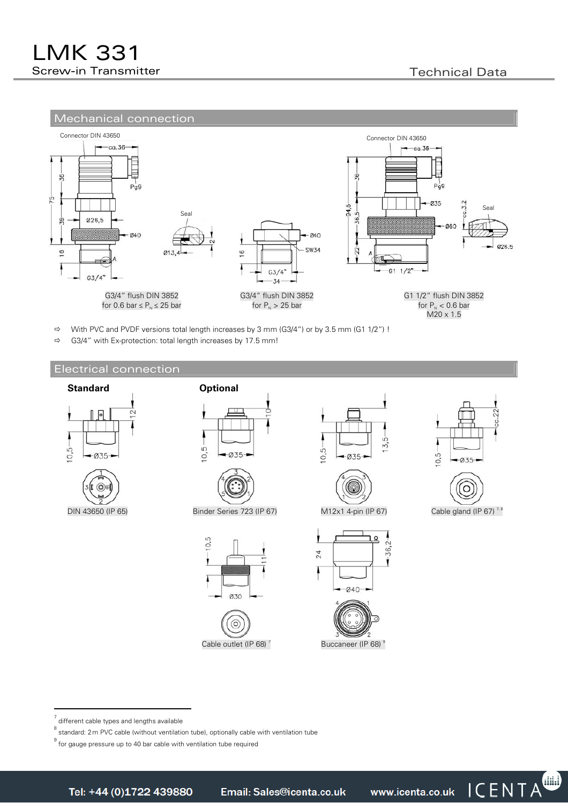

 $\Rightarrow$  With PVC and PVDF versions total length increases by 3 mm (G3/4") or by 3.5 mm (G1 1/2") !

 $\Rightarrow$  G3/4" with Ex-protection: total length increases by 17.5 mm!

## Electrical connection

















22 ¢  $10.5 035$ 



7 different cable types and lengths available

<sup>8</sup> standard: 2 m PVC cable (without ventilation tube), optionally cable with ventilation tube

<sup>&</sup>lt;sup>9</sup> for gauge pressure up to 40 bar cable with ventilation tube required